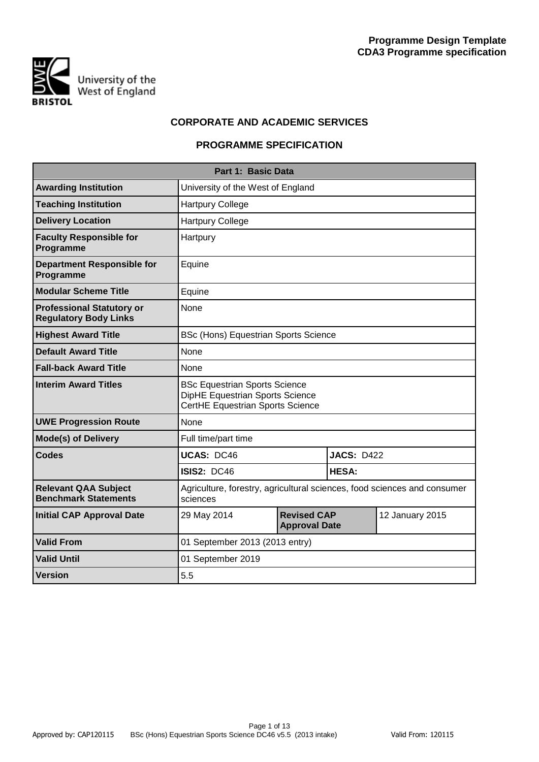

## **CORPORATE AND ACADEMIC SERVICES**

# **PROGRAMME SPECIFICATION**

|                                                                  | Part 1: Basic Data                                                                                          |                                            |                   |                 |  |  |  |  |  |
|------------------------------------------------------------------|-------------------------------------------------------------------------------------------------------------|--------------------------------------------|-------------------|-----------------|--|--|--|--|--|
| <b>Awarding Institution</b>                                      | University of the West of England                                                                           |                                            |                   |                 |  |  |  |  |  |
| <b>Teaching Institution</b>                                      | <b>Hartpury College</b>                                                                                     |                                            |                   |                 |  |  |  |  |  |
| <b>Delivery Location</b>                                         | <b>Hartpury College</b>                                                                                     |                                            |                   |                 |  |  |  |  |  |
| <b>Faculty Responsible for</b><br>Programme                      | Hartpury                                                                                                    |                                            |                   |                 |  |  |  |  |  |
| <b>Department Responsible for</b><br>Programme                   | Equine                                                                                                      |                                            |                   |                 |  |  |  |  |  |
| <b>Modular Scheme Title</b>                                      | Equine                                                                                                      |                                            |                   |                 |  |  |  |  |  |
| <b>Professional Statutory or</b><br><b>Regulatory Body Links</b> | None                                                                                                        |                                            |                   |                 |  |  |  |  |  |
| <b>Highest Award Title</b>                                       | <b>BSc (Hons) Equestrian Sports Science</b>                                                                 |                                            |                   |                 |  |  |  |  |  |
| <b>Default Award Title</b>                                       | None                                                                                                        |                                            |                   |                 |  |  |  |  |  |
| <b>Fall-back Award Title</b>                                     | None                                                                                                        |                                            |                   |                 |  |  |  |  |  |
| <b>Interim Award Titles</b>                                      | <b>BSc Equestrian Sports Science</b><br>DipHE Equestrian Sports Science<br>CertHE Equestrian Sports Science |                                            |                   |                 |  |  |  |  |  |
| <b>UWE Progression Route</b>                                     | None                                                                                                        |                                            |                   |                 |  |  |  |  |  |
| <b>Mode(s) of Delivery</b>                                       | Full time/part time                                                                                         |                                            |                   |                 |  |  |  |  |  |
| <b>Codes</b>                                                     | <b>UCAS: DC46</b>                                                                                           |                                            | <b>JACS: D422</b> |                 |  |  |  |  |  |
|                                                                  | <b>ISIS2: DC46</b>                                                                                          |                                            | <b>HESA:</b>      |                 |  |  |  |  |  |
| <b>Relevant QAA Subject</b><br><b>Benchmark Statements</b>       | Agriculture, forestry, agricultural sciences, food sciences and consumer<br>sciences                        |                                            |                   |                 |  |  |  |  |  |
| <b>Initial CAP Approval Date</b>                                 | 29 May 2014                                                                                                 | <b>Revised CAP</b><br><b>Approval Date</b> |                   | 12 January 2015 |  |  |  |  |  |
| <b>Valid From</b>                                                | 01 September 2013 (2013 entry)                                                                              |                                            |                   |                 |  |  |  |  |  |
| <b>Valid Until</b>                                               | 01 September 2019                                                                                           |                                            |                   |                 |  |  |  |  |  |
| <b>Version</b>                                                   | 5.5                                                                                                         |                                            |                   |                 |  |  |  |  |  |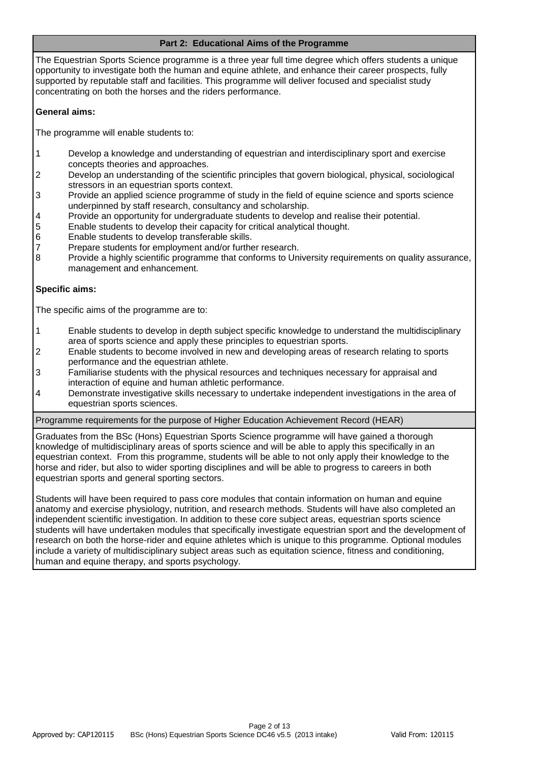## **Part 2: Educational Aims of the Programme**

The Equestrian Sports Science programme is a three year full time degree which offers students a unique opportunity to investigate both the human and equine athlete, and enhance their career prospects, fully supported by reputable staff and facilities. This programme will deliver focused and specialist study concentrating on both the horses and the riders performance.

## **General aims:**

The programme will enable students to:

- 1 Develop a knowledge and understanding of equestrian and interdisciplinary sport and exercise concepts theories and approaches.
- 2 Develop an understanding of the scientific principles that govern biological, physical, sociological stressors in an equestrian sports context.
- 3 Provide an applied science programme of study in the field of equine science and sports science underpinned by staff research, consultancy and scholarship.
- 4 Provide an opportunity for undergraduate students to develop and realise their potential.
- 5 Enable students to develop their capacity for critical analytical thought.
- 6 Enable students to develop transferable skills.
- 7 Prepare students for employment and/or further research.
- 8 Provide a highly scientific programme that conforms to University requirements on quality assurance, management and enhancement.

## **Specific aims:**

The specific aims of the programme are to:

- 1 Enable students to develop in depth subject specific knowledge to understand the multidisciplinary area of sports science and apply these principles to equestrian sports.
- 2 Enable students to become involved in new and developing areas of research relating to sports performance and the equestrian athlete.
- 3 Familiarise students with the physical resources and techniques necessary for appraisal and interaction of equine and human athletic performance.
- 4 Demonstrate investigative skills necessary to undertake independent investigations in the area of equestrian sports sciences.

## Programme requirements for the purpose of Higher Education Achievement Record (HEAR)

Graduates from the BSc (Hons) Equestrian Sports Science programme will have gained a thorough knowledge of multidisciplinary areas of sports science and will be able to apply this specifically in an equestrian context. From this programme, students will be able to not only apply their knowledge to the horse and rider, but also to wider sporting disciplines and will be able to progress to careers in both equestrian sports and general sporting sectors.

Students will have been required to pass core modules that contain information on human and equine anatomy and exercise physiology, nutrition, and research methods. Students will have also completed an independent scientific investigation. In addition to these core subject areas, equestrian sports science students will have undertaken modules that specifically investigate equestrian sport and the development of research on both the horse-rider and equine athletes which is unique to this programme. Optional modules include a variety of multidisciplinary subject areas such as equitation science, fitness and conditioning, human and equine therapy, and sports psychology.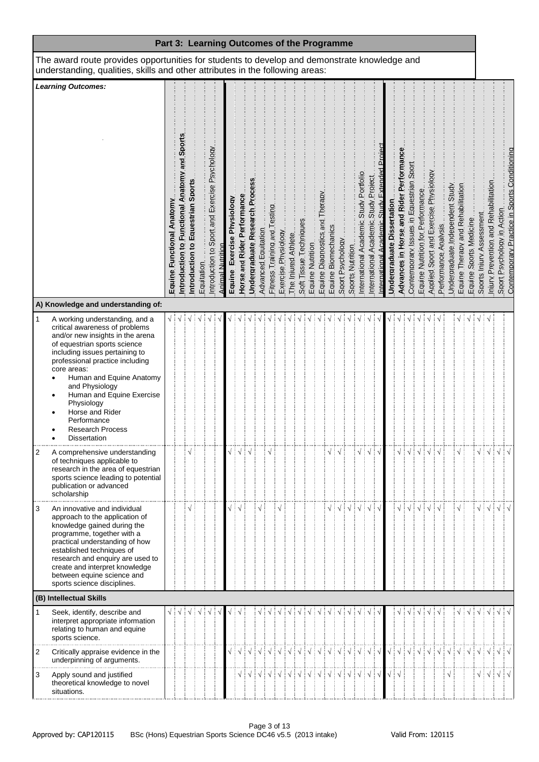| Part 3: Learning Outcomes of the Programme                                                                                                                                    |                                                                                                                                                                                                                                                                                                                                                                                                             |                           |                                                         |                                      |            |                                               |                         |                            |                             |                                |                     |                                 |                     |                     |                        |                  |                                |  |                                                                |                                        |                                                          |                       |                              |                                         |                                         |                                  |                                       |                      |                                                                       |                        |                           |                                        |      |  |
|-------------------------------------------------------------------------------------------------------------------------------------------------------------------------------|-------------------------------------------------------------------------------------------------------------------------------------------------------------------------------------------------------------------------------------------------------------------------------------------------------------------------------------------------------------------------------------------------------------|---------------------------|---------------------------------------------------------|--------------------------------------|------------|-----------------------------------------------|-------------------------|----------------------------|-----------------------------|--------------------------------|---------------------|---------------------------------|---------------------|---------------------|------------------------|------------------|--------------------------------|--|----------------------------------------------------------------|----------------------------------------|----------------------------------------------------------|-----------------------|------------------------------|-----------------------------------------|-----------------------------------------|----------------------------------|---------------------------------------|----------------------|-----------------------------------------------------------------------|------------------------|---------------------------|----------------------------------------|------|--|
| The award route provides opportunities for students to develop and demonstrate knowledge and<br>understanding, qualities, skills and other attributes in the following areas: |                                                                                                                                                                                                                                                                                                                                                                                                             |                           |                                                         |                                      |            |                                               |                         |                            |                             |                                |                     |                                 |                     |                     |                        |                  |                                |  |                                                                |                                        |                                                          |                       |                              |                                         |                                         |                                  |                                       |                      |                                                                       |                        |                           |                                        |      |  |
| <b>Learning Outcomes:</b>                                                                                                                                                     |                                                                                                                                                                                                                                                                                                                                                                                                             |                           |                                                         |                                      |            |                                               |                         |                            |                             |                                |                     |                                 |                     |                     |                        |                  |                                |  |                                                                |                                        |                                                          |                       |                              |                                         |                                         |                                  |                                       |                      |                                                                       |                        |                           |                                        |      |  |
|                                                                                                                                                                               |                                                                                                                                                                                                                                                                                                                                                                                                             | Equine Functional Anatomy | Sport<br>bue<br>S<br>Introduction to Functional Anatomy | Equestrian Sports<br>Introduction to | Equitation | Introduction to Sport and Exercise Psychology | <b>Animal Nutrition</b> | Equine Exercise Physiology | Horse and Rider Performance | Undergraduate Research Process | Advanced Equitation | Fitness Training and Testing    | Exercise Physiology | The Injured Athlete | Soft Tissue Techniques | Equine Nutrition | Equine Diagnostics and Therapy |  | _Equine Biomechanics<br>_Sport Psychology<br>_Sports Mutrition | International Academic Study Portfolio | Project<br>International Academic Study                  | Study<br>nternational | Undergraduate Dissertation   | Advances in Horse and Rider Performance | Contemporary Issues in Equestrian Sport | Equine Nutrition for Performance | Applied Sport and Exercise Physiology | Performance Analysis | Equine. Therapy and Rehabilitation<br>Undergraduate Independent Study | Equine Sports Medicine | Sports. Inium. Assessment | Injury Prevention and Rehabilitation   |      |  |
|                                                                                                                                                                               | A) Knowledge and understanding of:                                                                                                                                                                                                                                                                                                                                                                          |                           |                                                         |                                      |            |                                               |                         |                            |                             |                                |                     |                                 |                     |                     |                        |                  |                                |  |                                                                |                                        |                                                          |                       |                              |                                         |                                         |                                  |                                       |                      |                                                                       |                        |                           |                                        |      |  |
| $\mathbf{1}$                                                                                                                                                                  | A working understanding, and a<br>critical awareness of problems<br>and/or new insights in the arena<br>of equestrian sports science<br>including issues pertaining to<br>professional practice including<br>core areas:<br>Human and Equine Anatomy<br>$\bullet$<br>and Physiology<br>Human and Equine Exercise<br>Physiology<br>Horse and Rider<br>Performance<br><b>Research Process</b><br>Dissertation |                           |                                                         |                                      |            |                                               |                         |                            |                             |                                |                     |                                 |                     |                     |                        |                  |                                |  |                                                                |                                        |                                                          |                       |                              |                                         |                                         |                                  |                                       |                      |                                                                       |                        |                           |                                        |      |  |
| 2                                                                                                                                                                             | A comprehensive understanding<br>of techniques applicable to<br>research in the area of equestrian<br>sports science leading to potential<br>publication or advanced<br>scholarship                                                                                                                                                                                                                         |                           |                                                         |                                      |            |                                               |                         |                            | ┊√                          | ं √                            |                     |                                 |                     |                     |                        |                  |                                |  |                                                                |                                        | $\sqrt{\frac{1}{2}}\sqrt{\frac{1}{2}}\sqrt{\frac{1}{2}}$ |                       |                              | $\sqrt{ }$                              |                                         |                                  |                                       |                      |                                                                       |                        |                           | $\sqrt{\frac{1}{2}}\sqrt{\frac{1}{2}}$ | ┊√┊√ |  |
| 3                                                                                                                                                                             | An innovative and individual<br>approach to the application of<br>knowledge gained during the<br>programme, together with a<br>practical understanding of how<br>established techniques of<br>research and enquiry are used to<br>create and interpret knowledge<br>between equine science and<br>sports science disciplines.                                                                               |                           |                                                         |                                      |            |                                               |                         |                            | $\sqrt{ }$                  |                                | ٦                   |                                 |                     |                     |                        |                  |                                |  |                                                                |                                        | $\sqrt{ }$                                               | ÷√                    |                              | $\sqrt{}$                               |                                         |                                  |                                       |                      |                                                                       |                        |                           | √∃√                                    |      |  |
|                                                                                                                                                                               | (B) Intellectual Skills                                                                                                                                                                                                                                                                                                                                                                                     |                           |                                                         |                                      |            |                                               |                         |                            |                             |                                |                     |                                 |                     |                     |                        |                  |                                |  |                                                                |                                        |                                                          |                       |                              |                                         |                                         |                                  |                                       |                      |                                                                       |                        |                           |                                        |      |  |
| $\mathbf{1}$                                                                                                                                                                  | Seek, identify, describe and<br>interpret appropriate information<br>relating to human and equine<br>sports science.                                                                                                                                                                                                                                                                                        | √∃√                       |                                                         |                                      |            |                                               |                         |                            |                             |                                |                     |                                 |                     |                     |                        |                  |                                |  |                                                                |                                        |                                                          |                       |                              | $\sqrt{}$                               |                                         |                                  |                                       |                      |                                                                       |                        |                           |                                        | ┊√┊√ |  |
| $\overline{2}$                                                                                                                                                                | Critically appraise evidence in the<br>underpinning of arguments.                                                                                                                                                                                                                                                                                                                                           |                           |                                                         |                                      |            |                                               |                         |                            |                             |                                |                     | V V V V V V V V V V V V V V V V |                     |                     |                        |                  |                                |  |                                                                |                                        |                                                          |                       |                              | $\sqrt{2}$                              | ∔√∔√∔√                                  |                                  |                                       |                      | $\exists \sqrt{\vdots} \sqrt{\vdots} \sqrt{\vdots} \sqrt{\vdots}$     |                        |                           |                                        |      |  |
| 3                                                                                                                                                                             | Apply sound and justified<br>theoretical knowledge to novel<br>situations.                                                                                                                                                                                                                                                                                                                                  |                           |                                                         |                                      |            |                                               |                         |                            |                             |                                |                     |                                 |                     |                     |                        |                  |                                |  |                                                                |                                        |                                                          |                       | $\sqrt{\frac{1}{2}}\sqrt{ }$ |                                         |                                         |                                  |                                       | $\sqrt{}$            |                                                                       |                        |                           |                                        |      |  |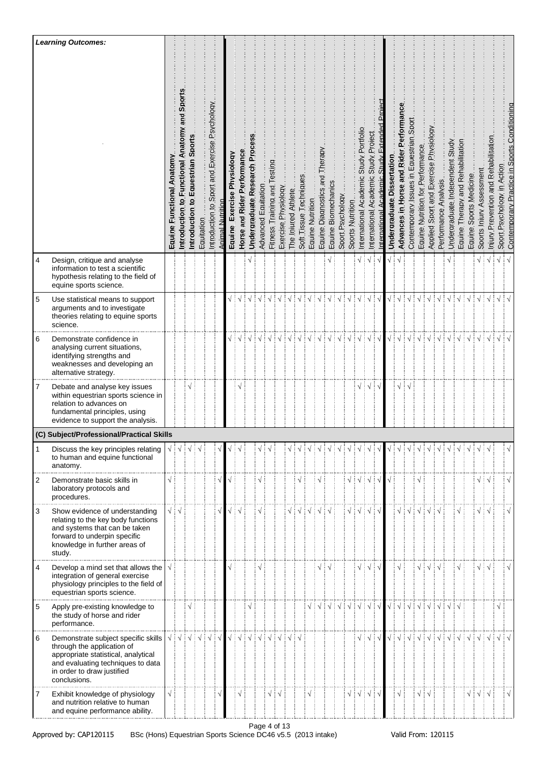|             | <b>Learning Outcomes:</b>                                                                                                                                                                   |                                        |                                                                            |                                                                |            |                                                  |                  |                                  |                             |                                                                            |                     |                              |                     |                     |                        |                  |                                   |                     |                  |                                        |                                              |                                                                            |                          |                                        |                                         |                                            |                                  |                                       |                      |                                 |                                    |                        |                          |                                      |                            |                                              |
|-------------|---------------------------------------------------------------------------------------------------------------------------------------------------------------------------------------------|----------------------------------------|----------------------------------------------------------------------------|----------------------------------------------------------------|------------|--------------------------------------------------|------------------|----------------------------------|-----------------------------|----------------------------------------------------------------------------|---------------------|------------------------------|---------------------|---------------------|------------------------|------------------|-----------------------------------|---------------------|------------------|----------------------------------------|----------------------------------------------|----------------------------------------------------------------------------|--------------------------|----------------------------------------|-----------------------------------------|--------------------------------------------|----------------------------------|---------------------------------------|----------------------|---------------------------------|------------------------------------|------------------------|--------------------------|--------------------------------------|----------------------------|----------------------------------------------|
|             |                                                                                                                                                                                             | Equine Functional Anatomy              | and Sport<br>Anatomy<br>Introduction to Functional                         | Sport<br>Equestrian<br>$\overline{\mathbf{c}}$<br>Introduction | Equitation | Sport and Exercise Psychology<br>Introduction to | Animal Nutrition | Physioloay<br>Exercise<br>Equine | Horse and Rider Performance | Undergraduate Research Process                                             | Advanced Equitation | Fitness Training and Testing | Exercise Physiology | The Injured Athlete | Soft Tissue Techniques | Equine Nutrition | and Therapy<br>Equine Diagnostics | Equine Biomechanics | Sport Psychology | Sports Nutrition                       | Portfolio<br>Study<br>International Academic | Project<br>Study<br>International Academic                                 | Academic<br>nternational | Undergraduate Dissertation             | Advances in Horse and Rider Performance | Sport<br>Contemporary Issues in Equestrian | Equine Nutrition for Performance | Applied Sport and Exercise Physiology | Performance Analysis | Undergraduate Independent Study | Equine. Therapy and Rehabilitation | Equine Sports Medicine | Sports. Inium Assessment | Iniury Prevention and Rehabilitation | Sport Psychology in Action | Contemporary Practice in Sports Conditioning |
| 4           | Design, critique and analyse<br>information to test a scientific<br>hypothesis relating to the field of<br>equine sports science.                                                           |                                        |                                                                            |                                                                |            |                                                  |                  |                                  |                             |                                                                            |                     |                              |                     |                     |                        |                  |                                   |                     |                  |                                        |                                              | $\sqrt{}$                                                                  |                          |                                        |                                         |                                            |                                  |                                       |                      |                                 |                                    |                        |                          |                                      | $\sqrt{}$                  |                                              |
| $\mathbf 5$ | Use statistical means to support<br>arguments and to investigate<br>theories relating to equine sports<br>science.                                                                          |                                        |                                                                            |                                                                |            |                                                  |                  |                                  |                             |                                                                            |                     |                              |                     |                     |                        |                  |                                   |                     |                  |                                        |                                              |                                                                            |                          | √ ∶                                    |                                         |                                            |                                  |                                       |                      |                                 |                                    |                        |                          |                                      |                            |                                              |
| 6           | Demonstrate confidence in<br>analysing current situations,<br>identifying strengths and<br>weaknesses and developing an<br>alternative strategy.                                            |                                        |                                                                            |                                                                |            |                                                  |                  |                                  | $\sqrt{ }$                  | $\sqrt{ }$                                                                 |                     |                              |                     |                     |                        |                  |                                   |                     |                  |                                        |                                              | $\sqrt{}$                                                                  | ∃ √                      | $\sqrt{}$                              | Ń                                       |                                            |                                  |                                       |                      |                                 |                                    |                        |                          |                                      |                            |                                              |
| 7           | Debate and analyse key issues<br>within equestrian sports science in<br>relation to advances on<br>fundamental principles, using<br>evidence to support the analysis.                       |                                        |                                                                            |                                                                |            |                                                  |                  |                                  |                             |                                                                            |                     |                              |                     |                     |                        |                  |                                   |                     |                  |                                        |                                              | $\sqrt{}$                                                                  |                          |                                        | N                                       |                                            |                                  |                                       |                      |                                 |                                    |                        |                          |                                      |                            |                                              |
|             | (C) Subject/Professional/Practical Skills                                                                                                                                                   |                                        |                                                                            |                                                                |            |                                                  |                  |                                  |                             |                                                                            |                     |                              |                     |                     |                        |                  |                                   |                     |                  |                                        |                                              |                                                                            |                          |                                        |                                         |                                            |                                  |                                       |                      |                                 |                                    |                        |                          |                                      |                            |                                              |
| 1           | Discuss the key principles relating<br>to human and equine functional<br>anatomy.                                                                                                           |                                        | $\sqrt{\frac{1}{2}}\sqrt{\frac{1}{2}}\sqrt{\frac{1}{2}}\sqrt{\frac{1}{2}}$ |                                                                |            |                                                  |                  |                                  |                             |                                                                            | √∶√                 |                              |                     |                     |                        |                  |                                   |                     |                  |                                        |                                              |                                                                            |                          | $\sqrt{}$                              |                                         | $\sqrt{ }$                                 |                                  |                                       |                      |                                 |                                    |                        |                          |                                      |                            |                                              |
| 2           | Demonstrate basic skills in<br>laboratory protocols and<br>procedures.                                                                                                                      |                                        |                                                                            |                                                                |            |                                                  |                  |                                  |                             |                                                                            | N                   |                              |                     |                     |                        |                  |                                   |                     |                  |                                        |                                              | $\sqrt{\frac{1}{2}}\sqrt{\frac{1}{2}}\sqrt{\frac{1}{2}}\sqrt{\frac{1}{2}}$ |                          |                                        |                                         |                                            |                                  |                                       |                      |                                 |                                    |                        | √ i √                    |                                      |                            |                                              |
| 3           | Show evidence of understanding<br>relating to the key body functions<br>and systems that can be taken<br>forward to underpin specific<br>knowledge in further areas of<br>study.            | $\sqrt{\frac{1}{2}}\sqrt{\frac{1}{2}}$ |                                                                            |                                                                |            |                                                  |                  |                                  |                             |                                                                            | N                   |                              |                     |                     |                        |                  |                                   |                     |                  | $\sqrt{2}$                             |                                              | $\sqrt{ }$                                                                 |                          |                                        | $\sqrt{}$                               | $\sqrt{ }$                                 |                                  |                                       |                      |                                 |                                    |                        | √∔√                      |                                      |                            |                                              |
| 4           | Develop a mind set that allows the<br>integration of general exercise<br>physiology principles to the field of<br>equestrian sports science.                                                | $\sqrt{}$                              |                                                                            |                                                                |            |                                                  |                  |                                  |                             |                                                                            |                     |                              |                     |                     |                        |                  |                                   |                     |                  |                                        |                                              | $\sqrt{ }$                                                                 |                          |                                        |                                         |                                            |                                  |                                       |                      |                                 |                                    |                        |                          |                                      |                            |                                              |
| 5           | Apply pre-existing knowledge to<br>the study of horse and rider<br>performance.                                                                                                             |                                        |                                                                            | V                                                              |            |                                                  |                  |                                  |                             |                                                                            |                     |                              |                     |                     |                        |                  |                                   |                     |                  | $\sqrt{ }$ :                           |                                              | $\sqrt{\frac{1}{2}}\sqrt{\frac{1}{2}}\sqrt{\frac{1}{2}}$                   |                          | $\sqrt{\frac{1}{2}}\sqrt{\frac{1}{2}}$ |                                         | $\sqrt{ }$                                 |                                  |                                       |                      |                                 |                                    |                        |                          |                                      |                            |                                              |
| 6           | Demonstrate subject specific skills<br>through the application of<br>appropriate statistical, analytical<br>and evaluating techniques to data<br>in order to draw justified<br>conclusions. | $\sqrt{\frac{1}{2}}$                   | $\sqrt{ }$                                                                 | ┊√                                                             | ं√         | $\mathcal{N}$ $\mathcal{N}$                      |                  |                                  |                             | $\sqrt{\frac{1}{2}}\sqrt{\frac{1}{2}}\sqrt{\frac{1}{2}}\sqrt{\frac{1}{2}}$ |                     | $\sqrt{ }$                   |                     |                     |                        |                  |                                   |                     |                  |                                        |                                              | ∔√                                                                         | ÷ν                       | √ ∶                                    | $\sqrt{ }$                              | $\sqrt{ }$                                 |                                  |                                       |                      |                                 |                                    |                        |                          |                                      |                            |                                              |
| 7           | Exhibit knowledge of physiology<br>and nutrition relative to human<br>and equine performance ability.                                                                                       |                                        |                                                                            |                                                                |            |                                                  |                  |                                  | $\sqrt{}$                   |                                                                            |                     |                              |                     |                     |                        |                  |                                   |                     |                  | $\sqrt{\frac{1}{2}}\sqrt{\frac{1}{2}}$ |                                              | $\frac{1}{2}$                                                              |                          |                                        | $\sqrt{}$                               |                                            |                                  |                                       |                      |                                 |                                    | $\sqrt{}$              | $\sqrt{ }$               |                                      |                            |                                              |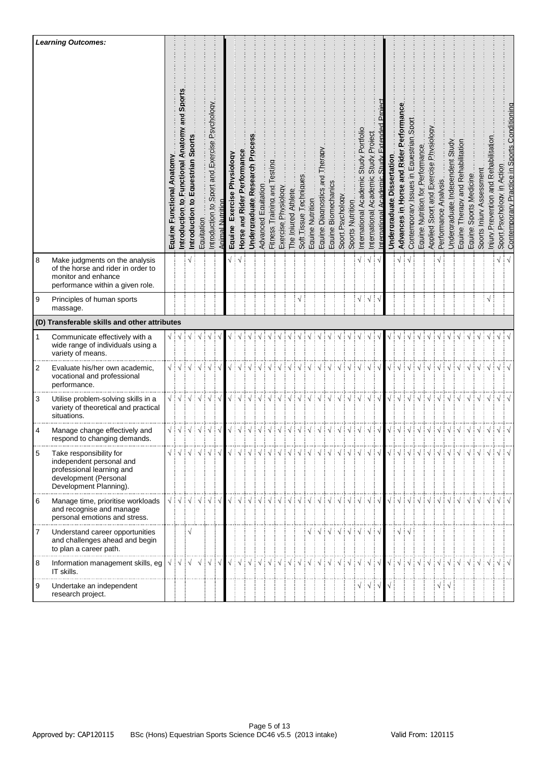|                | <b>Learning Outcomes:</b>                                                                                                           | Anatomy<br><b>Functional</b><br>Equine. | and Sports<br>Anatomy<br>Introduction to Functional      | Sport<br>Equestrian<br>ë<br>Introduction | Equitation                                                   | Sport and Exercise Psychology<br>5<br>Introduction      | nimal Nutritio | Physioloay<br>Exercise<br>Equine | Horse and Rider Performance | Undergraduate Research Proces | Advanced Equitation | Eitness Training and Testing | Exercise Physiology | The Injured Athlete | Soft Tissue Techniques | Equine Nutrition | and Therapy<br>Equine Diagnostics | Equine Biomechanics | Sport Psychology                                                                                                                                                                                                                                                                                                                                                                                                                                                                                                                                | Sports Nutrition | Portfolio<br>Study.<br>International Academic | Project<br>Study I<br>International Academic             | nternational | Undergraduate Dissertation | Performance<br>Advances in Horse and Rider | Sport<br>Contemporary Issues in Equestrian | Equine Nutrition for Performance | Applied Sport and Exercise Physiology | Performance Analysis. | Undergraduate Independent Study        | Equine Therapy and Rehabilitation                                          | Equine Sports Medicine | Sports. Inium Assessment | Iniury Prevention and Rehabilitation | Sport Psychology in Action | Contemporary Practice in Sports Conditioning |
|----------------|-------------------------------------------------------------------------------------------------------------------------------------|-----------------------------------------|----------------------------------------------------------|------------------------------------------|--------------------------------------------------------------|---------------------------------------------------------|----------------|----------------------------------|-----------------------------|-------------------------------|---------------------|------------------------------|---------------------|---------------------|------------------------|------------------|-----------------------------------|---------------------|-------------------------------------------------------------------------------------------------------------------------------------------------------------------------------------------------------------------------------------------------------------------------------------------------------------------------------------------------------------------------------------------------------------------------------------------------------------------------------------------------------------------------------------------------|------------------|-----------------------------------------------|----------------------------------------------------------|--------------|----------------------------|--------------------------------------------|--------------------------------------------|----------------------------------|---------------------------------------|-----------------------|----------------------------------------|----------------------------------------------------------------------------|------------------------|--------------------------|--------------------------------------|----------------------------|----------------------------------------------|
| 8              | Make judgments on the analysis<br>of the horse and rider in order to<br>monitor and enhance<br>performance within a given role.     |                                         |                                                          |                                          |                                                              |                                                         |                |                                  |                             |                               |                     |                              |                     |                     |                        |                  |                                   |                     |                                                                                                                                                                                                                                                                                                                                                                                                                                                                                                                                                 |                  |                                               | $\sqrt{ }$                                               |              |                            |                                            |                                            |                                  |                                       |                       |                                        |                                                                            |                        |                          |                                      |                            |                                              |
| 9              | Principles of human sports<br>massage.                                                                                              |                                         |                                                          |                                          |                                                              |                                                         |                |                                  |                             |                               |                     |                              |                     |                     | $\sqrt{}$              |                  |                                   |                     |                                                                                                                                                                                                                                                                                                                                                                                                                                                                                                                                                 |                  |                                               | V                                                        |              |                            |                                            |                                            |                                  |                                       |                       |                                        |                                                                            |                        |                          |                                      |                            |                                              |
|                | (D) Transferable skills and other attributes                                                                                        |                                         |                                                          |                                          |                                                              |                                                         |                |                                  |                             |                               |                     |                              |                     |                     |                        |                  |                                   |                     |                                                                                                                                                                                                                                                                                                                                                                                                                                                                                                                                                 |                  |                                               |                                                          |              |                            |                                            |                                            |                                  |                                       |                       |                                        |                                                                            |                        |                          |                                      |                            |                                              |
| 1              | Communicate effectively with a<br>wide range of individuals using a<br>variety of means.                                            |                                         | $\sqrt{\frac{1}{2}}\sqrt{\frac{1}{2}}$                   |                                          |                                                              |                                                         |                |                                  |                             |                               |                     |                              |                     |                     |                        |                  |                                   |                     |                                                                                                                                                                                                                                                                                                                                                                                                                                                                                                                                                 |                  |                                               |                                                          |              |                            |                                            |                                            |                                  |                                       |                       |                                        |                                                                            |                        |                          |                                      |                            |                                              |
| $\overline{c}$ | Evaluate his/her own academic,<br>vocational and professional<br>performance.                                                       | $\sqrt{\frac{1}{2}}$                    |                                                          |                                          |                                                              | $\frac{1}{2}$ $\sqrt{\frac{1}{2}}$ $\sqrt{\frac{1}{2}}$ |                |                                  |                             |                               |                     |                              |                     |                     |                        |                  |                                   |                     |                                                                                                                                                                                                                                                                                                                                                                                                                                                                                                                                                 |                  |                                               |                                                          |              | $\sqrt{}$                  |                                            |                                            |                                  |                                       |                       |                                        |                                                                            |                        |                          |                                      |                            |                                              |
| 3              | Utilise problem-solving skills in a<br>variety of theoretical and practical<br>situations.                                          | $\sqrt{\frac{1}{2}}$                    |                                                          |                                          |                                                              | ┊√                                                      | ं √            |                                  |                             |                               |                     |                              |                     |                     |                        |                  |                                   |                     |                                                                                                                                                                                                                                                                                                                                                                                                                                                                                                                                                 |                  |                                               | $\sqrt{ }$                                               |              | $\sqrt{}$                  |                                            |                                            |                                  |                                       |                       |                                        |                                                                            |                        |                          |                                      |                            |                                              |
| 4              | Manage change effectively and<br>respond to changing demands.                                                                       |                                         | $\sqrt{2}$                                               | ∶√                                       | ∔√∔√∔√                                                       |                                                         |                | $\sqrt{ }$                       | ÷√                          | ∔ √                           | $\frac{1}{2}$       | ∃ √                          | ∶√                  | Ε√                  | ÷ν                     |                  |                                   |                     | ∔√∔√∔√∔√                                                                                                                                                                                                                                                                                                                                                                                                                                                                                                                                        |                  | ∄√                                            | ∔ √                                                      |              | √∃√                        |                                            | $\frac{1}{2}$                              | $\mathcal{N}$                    |                                       | ‡√                    |                                        | $\frac{1}{2}$ $\sqrt{2}$ $\frac{1}{2}$ $\sqrt{2}$ $\frac{1}{2}$ $\sqrt{2}$ |                        |                          |                                      |                            |                                              |
| 5              | Take responsibility for<br>independent personal and<br>professional learning and<br>development (Personal<br>Development Planning). |                                         |                                                          | √∔√∔√∔√∔√                                |                                                              |                                                         |                |                                  |                             |                               |                     |                              |                     |                     |                        |                  |                                   |                     | $\begin{array}{c} \sqrt{\phantom{a}}:\sqrt{\phantom{a}}:\sqrt{\phantom{a}}:\sqrt{\phantom{a}}:\sqrt{\phantom{a}}:\sqrt{\phantom{a}}:\sqrt{\phantom{a}}:\sqrt{\phantom{a}}:\sqrt{\phantom{a}}:\sqrt{\phantom{a}}:\sqrt{\phantom{a}}:\sqrt{\phantom{a}}:\sqrt{\phantom{a}}:\sqrt{\phantom{a}}:\sqrt{\phantom{a}}:\sqrt{\phantom{a}}:\sqrt{\phantom{a}}:\sqrt{\phantom{a}}:\sqrt{\phantom{a}}:\sqrt{\phantom{a}}:\sqrt{\phantom{a}}:\sqrt{\phantom{a}}:\sqrt{\phantom{a}}:\sqrt{\phantom{a}}:\sqrt{\phantom{a}}:\sqrt{\phantom{a}}:\sqrt{\phantom$ |                  |                                               |                                                          |              |                            |                                            |                                            |                                  |                                       |                       |                                        |                                                                            |                        |                          |                                      |                            |                                              |
| 6              | Manage time, prioritise workloads<br>and recognise and manage<br>personal emotions and stress.                                      |                                         | $\sqrt{\frac{1}{2}}\sqrt{\frac{1}{2}}\sqrt{\frac{1}{2}}$ |                                          | $\mathbf{1} \vee \mathbf{1} \vee \mathbf{1} \vee \mathbf{1}$ |                                                         |                |                                  |                             |                               |                     |                              |                     |                     |                        |                  |                                   |                     | √¦√¦√¦√¦√¦√¦√¦√¦√¦√¦√¦√¦√                                                                                                                                                                                                                                                                                                                                                                                                                                                                                                                       |                  |                                               |                                                          |              | $\sqrt{2}$                 |                                            | $\sqrt{ }$ :                               | $\sqrt{ }$                       |                                       |                       |                                        | $\sqrt{\frac{1}{2}}\sqrt{\frac{1}{2}}\sqrt{\frac{1}{2}}\sqrt{\frac{1}{2}}$ |                        |                          |                                      |                            |                                              |
| 7              | Understand career opportunities<br>and challenges ahead and begin<br>to plan a career path.                                         |                                         |                                                          | $\sqrt{ }$                               |                                                              |                                                         |                |                                  |                             |                               |                     |                              |                     |                     |                        |                  |                                   |                     | $\begin{array}{c} \sqrt{\frac{1}{2}} \sqrt{\frac{1}{2}} \sqrt{\frac{1}{2}} \sqrt{\frac{1}{2}} \sqrt{\frac{1}{2}} \sqrt{\frac{1}{2}} \sqrt{\frac{1}{2}} \sqrt{\frac{1}{2}} \sqrt{\frac{1}{2}} \sqrt{\frac{1}{2}} \sqrt{\frac{1}{2}} \sqrt{\frac{1}{2}} \sqrt{\frac{1}{2}} \sqrt{\frac{1}{2}} \sqrt{\frac{1}{2}} \sqrt{\frac{1}{2}} \sqrt{\frac{1}{2}} \sqrt{\frac{1}{2}} \sqrt{\frac{1}{2}} \sqrt{\frac{1}{2}} \sqrt{\frac{1}{2}} \sqrt{\frac{1}{2}} \sqrt{\frac{1}{2}} \sqrt{\frac{1$                                                           |                  |                                               |                                                          |              |                            | $\sqrt{2}$                                 |                                            |                                  |                                       |                       |                                        |                                                                            |                        |                          |                                      |                            |                                              |
| 8              | Information management skills, eg<br>IT skills.                                                                                     | $\sqrt{}$                               | $\sqrt{ }$                                               |                                          | $\sqrt{\sqrt{}}$                                             | $\sqrt{ }$                                              | $\sqrt{ }$     | $\sqrt{ }$                       | ∔√∃                         |                               |                     |                              |                     |                     |                        |                  |                                   |                     | $\begin{array}{c} \sqrt{3} & \sqrt{3} & \sqrt{3} & \sqrt{3} & \sqrt{3} & \sqrt{3} & \sqrt{3} & \sqrt{3} \\ \sqrt{3} & \sqrt{3} & \sqrt{3} & \sqrt{3} & \sqrt{3} & \sqrt{3} & \sqrt{3} & \sqrt{3} \\ \sqrt{3} & \sqrt{3} & \sqrt{3} & \sqrt{3} & \sqrt{3} & \sqrt{3} & \sqrt{3} & \sqrt{3} \\ \sqrt{3} & \sqrt{3} & \sqrt{3} & \sqrt{3} & \sqrt{3} & \sqrt{3} & \sqrt{3} & \sqrt{3} \\ \sqrt{3} & \sqrt{3} & \sqrt{3} & \sqrt{$                                                                                                                  |                  |                                               |                                                          |              | √∃√                        |                                            | $\sqrt{ }$                                 |                                  |                                       |                       |                                        |                                                                            |                        |                          |                                      |                            |                                              |
| 9              | Undertake an independent<br>research project.                                                                                       |                                         |                                                          |                                          |                                                              |                                                         |                |                                  |                             |                               |                     |                              |                     |                     |                        |                  |                                   |                     |                                                                                                                                                                                                                                                                                                                                                                                                                                                                                                                                                 |                  |                                               | $\sqrt{\frac{1}{2}}\sqrt{\frac{1}{2}}\sqrt{\frac{1}{2}}$ |              |                            |                                            |                                            |                                  |                                       |                       | $\sqrt{\frac{1}{2}}\sqrt{\frac{1}{2}}$ |                                                                            |                        |                          |                                      |                            |                                              |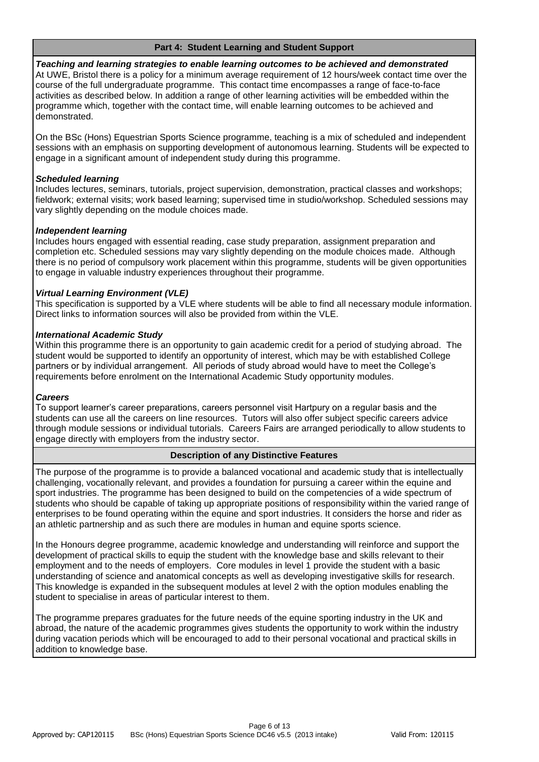#### **Part 4: Student Learning and Student Support**

*Teaching and learning strategies to enable learning outcomes to be achieved and demonstrated* At UWE, Bristol there is a policy for a minimum average requirement of 12 hours/week contact time over the course of the full undergraduate programme. This contact time encompasses a range of face-to-face activities as described below. In addition a range of other learning activities will be embedded within the programme which, together with the contact time, will enable learning outcomes to be achieved and demonstrated.

On the BSc (Hons) Equestrian Sports Science programme, teaching is a mix of scheduled and independent sessions with an emphasis on supporting development of autonomous learning. Students will be expected to engage in a significant amount of independent study during this programme.

### *Scheduled learning*

Includes lectures, seminars, tutorials, project supervision, demonstration, practical classes and workshops; fieldwork; external visits; work based learning; supervised time in studio/workshop. Scheduled sessions may vary slightly depending on the module choices made.

## *Independent learning*

Includes hours engaged with essential reading, case study preparation, assignment preparation and completion etc. Scheduled sessions may vary slightly depending on the module choices made. Although there is no period of compulsory work placement within this programme, students will be given opportunities to engage in valuable industry experiences throughout their programme.

## *Virtual Learning Environment (VLE)*

This specification is supported by a VLE where students will be able to find all necessary module information. Direct links to information sources will also be provided from within the VLE.

## *International Academic Study*

Within this programme there is an opportunity to gain academic credit for a period of studying abroad. The student would be supported to identify an opportunity of interest, which may be with established College partners or by individual arrangement. All periods of study abroad would have to meet the College's requirements before enrolment on the International Academic Study opportunity modules.

#### *Careers*

To support learner's career preparations, careers personnel visit Hartpury on a regular basis and the students can use all the careers on line resources. Tutors will also offer subject specific careers advice through module sessions or individual tutorials. Careers Fairs are arranged periodically to allow students to engage directly with employers from the industry sector.

## **Description of any Distinctive Features**

The purpose of the programme is to provide a balanced vocational and academic study that is intellectually challenging, vocationally relevant, and provides a foundation for pursuing a career within the equine and sport industries. The programme has been designed to build on the competencies of a wide spectrum of students who should be capable of taking up appropriate positions of responsibility within the varied range of enterprises to be found operating within the equine and sport industries. It considers the horse and rider as an athletic partnership and as such there are modules in human and equine sports science.

In the Honours degree programme, academic knowledge and understanding will reinforce and support the development of practical skills to equip the student with the knowledge base and skills relevant to their employment and to the needs of employers. Core modules in level 1 provide the student with a basic understanding of science and anatomical concepts as well as developing investigative skills for research. This knowledge is expanded in the subsequent modules at level 2 with the option modules enabling the student to specialise in areas of particular interest to them.

The programme prepares graduates for the future needs of the equine sporting industry in the UK and abroad, the nature of the academic programmes gives students the opportunity to work within the industry during vacation periods which will be encouraged to add to their personal vocational and practical skills in addition to knowledge base.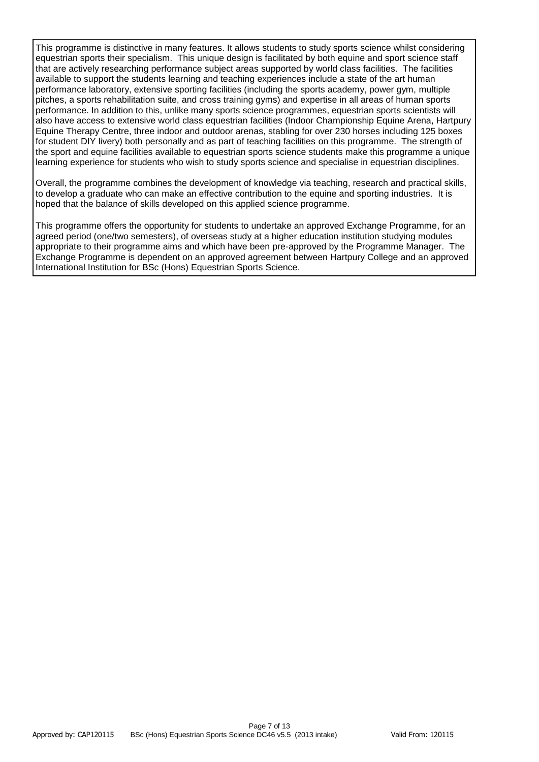This programme is distinctive in many features. It allows students to study sports science whilst considering equestrian sports their specialism. This unique design is facilitated by both equine and sport science staff that are actively researching performance subject areas supported by world class facilities. The facilities available to support the students learning and teaching experiences include a state of the art human performance laboratory, extensive sporting facilities (including the sports academy, power gym, multiple pitches, a sports rehabilitation suite, and cross training gyms) and expertise in all areas of human sports performance. In addition to this, unlike many sports science programmes, equestrian sports scientists will also have access to extensive world class equestrian facilities (Indoor Championship Equine Arena, Hartpury Equine Therapy Centre, three indoor and outdoor arenas, stabling for over 230 horses including 125 boxes for student DIY livery) both personally and as part of teaching facilities on this programme. The strength of the sport and equine facilities available to equestrian sports science students make this programme a unique learning experience for students who wish to study sports science and specialise in equestrian disciplines.

Overall, the programme combines the development of knowledge via teaching, research and practical skills, to develop a graduate who can make an effective contribution to the equine and sporting industries. It is hoped that the balance of skills developed on this applied science programme.

This programme offers the opportunity for students to undertake an approved Exchange Programme, for an agreed period (one/two semesters), of overseas study at a higher education institution studying modules appropriate to their programme aims and which have been pre-approved by the Programme Manager. The Exchange Programme is dependent on an approved agreement between Hartpury College and an approved International Institution for BSc (Hons) Equestrian Sports Science.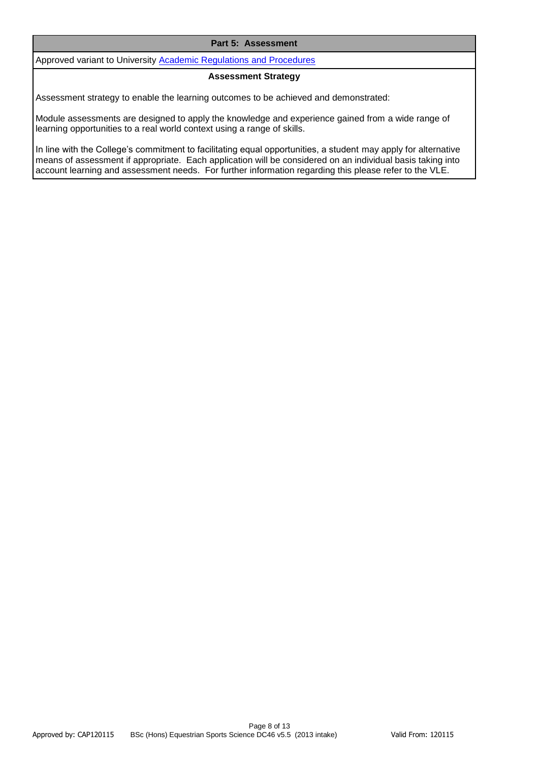#### **Part 5: Assessment**

Approved variant to University [Academic Regulations and Procedures](http://www1.uwe.ac.uk/students/academicadvice/assessments/regulationsandprocedures.aspx)

#### **Assessment Strategy**

Assessment strategy to enable the learning outcomes to be achieved and demonstrated:

Module assessments are designed to apply the knowledge and experience gained from a wide range of learning opportunities to a real world context using a range of skills.

In line with the College's commitment to facilitating equal opportunities, a student may apply for alternative means of assessment if appropriate. Each application will be considered on an individual basis taking into account learning and assessment needs. For further information regarding this please refer to the VLE.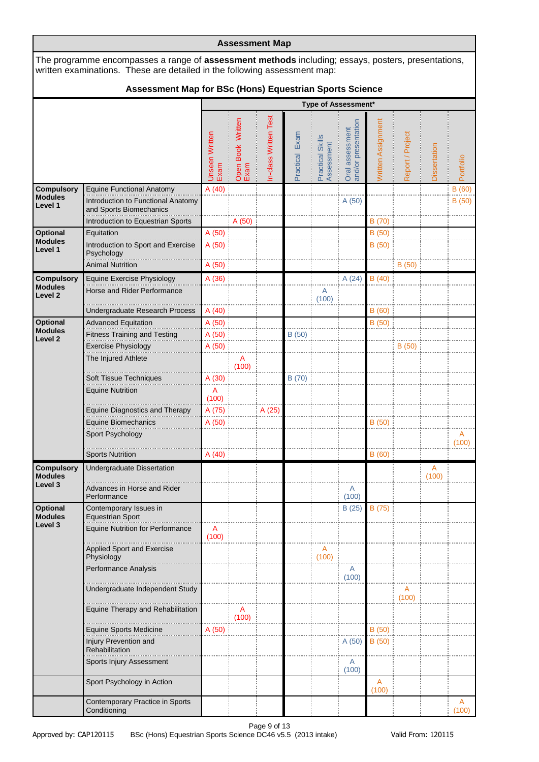|                                                           |                                                                                                                                                                                 |                                |                           | <b>Assessment Map</b> |                   |                                |                                        |                         |                  |              |                |  |  |  |  |
|-----------------------------------------------------------|---------------------------------------------------------------------------------------------------------------------------------------------------------------------------------|--------------------------------|---------------------------|-----------------------|-------------------|--------------------------------|----------------------------------------|-------------------------|------------------|--------------|----------------|--|--|--|--|
|                                                           | The programme encompasses a range of assessment methods including; essays, posters, presentations,<br>written examinations. These are detailed in the following assessment map: |                                |                           |                       |                   |                                |                                        |                         |                  |              |                |  |  |  |  |
|                                                           | Assessment Map for BSc (Hons) Equestrian Sports Science                                                                                                                         |                                |                           |                       |                   |                                |                                        |                         |                  |              |                |  |  |  |  |
|                                                           | <b>Type of Assessment*</b>                                                                                                                                                      |                                |                           |                       |                   |                                |                                        |                         |                  |              |                |  |  |  |  |
|                                                           |                                                                                                                                                                                 | <b>Unseen Written</b><br>Exam  | Open Book Written<br>Exam | n-class Written Test  | Exam<br>Practical | Practical Skills<br>Assessment | and/or presentation<br>Oral assessment | Written Assignment      | Report / Project | Dissertation | Portfolio      |  |  |  |  |
| <b>Compulsory</b><br><b>Modules</b><br>Level 1            | Equine Functional Anatomy<br>Introduction to Functional Anatomy<br>and Sports Biomechanics<br>Introduction to Equestrian Sports                                                 | A(40)                          | A (50)                    |                       |                   |                                | A (50)                                 | B (70)                  |                  |              | B(60)<br>B(50) |  |  |  |  |
| <b>Optional</b><br><b>Modules</b><br>Level 1              | Equitation<br>Introduction to Sport and Exercise<br>Psychology<br><b>Animal Nutrition</b>                                                                                       | A(50)<br>A(50)<br>A (50)       |                           |                       |                   |                                |                                        | B(50)<br>B (50)         | B(50)            |              |                |  |  |  |  |
| <b>Compulsory</b><br><b>Modules</b><br>Level <sub>2</sub> | <b>Equine Exercise Physiology</b><br>Horse and Rider Performance<br>Undergraduate Research Process                                                                              | A (36)<br>A (40)               |                           |                       |                   | A<br>(100)                     | A(24)                                  | B(40)<br>B(60)          |                  |              |                |  |  |  |  |
| Optional<br><b>Modules</b><br>Level <sub>2</sub>          | <b>Advanced Equitation</b><br><b>Fitness Training and Testing</b><br><b>Exercise Physiology</b><br>The Injured Athlete                                                          | A (50)<br>A (50)<br>A (50)     | Α                         |                       | B (50)            |                                |                                        | B(50)                   | B (50)           |              |                |  |  |  |  |
|                                                           | Soft Tissue Techniques<br><b>Equine Nutrition</b><br><b>Equine Diagnostics and Therapy</b>                                                                                      | A (30)<br>A<br>(100)<br>A (75) | (100)                     | A (25)                | B (70)            |                                |                                        |                         |                  |              |                |  |  |  |  |
|                                                           | Equine Biomechanics<br>Sport Psychology<br><b>Sports Nutrition</b>                                                                                                              | A (50)<br>A(40)                |                           |                       |                   |                                |                                        | B(50)<br>B(60)          |                  |              | Α<br>(100)     |  |  |  |  |
| <b>Compulsory</b><br><b>Modules</b><br>Level 3            | Undergraduate Dissertation<br>Advances in Horse and Rider<br>Performance                                                                                                        |                                |                           |                       |                   |                                | A<br>(100)                             |                         |                  | Α<br>(100)   |                |  |  |  |  |
| <b>Optional</b><br><b>Modules</b><br>Level 3              | Contemporary Issues in<br><b>Equestrian Sport</b><br><b>Equine Nutrition for Performance</b>                                                                                    | Α<br>(100)                     |                           |                       |                   |                                | B(25)                                  | B (75)                  |                  |              |                |  |  |  |  |
|                                                           | <b>Applied Sport and Exercise</b><br>Physiology<br>Performance Analysis<br>Undergraduate Independent Study                                                                      |                                |                           |                       |                   | Α<br>(100)                     | A<br>(100)                             |                         | A                |              |                |  |  |  |  |
|                                                           | Equine Therapy and Rehabilitation                                                                                                                                               |                                | A<br>(100)                |                       |                   |                                |                                        |                         | (100)            |              |                |  |  |  |  |
|                                                           | <b>Equine Sports Medicine</b><br>Injury Prevention and<br>Rehabilitation<br>Sports Injury Assessment                                                                            | A (50)                         |                           |                       |                   |                                | A(50)<br>A<br>(100)                    | B (50)<br>B (50)        |                  |              |                |  |  |  |  |
|                                                           | Sport Psychology in Action<br>Contemporary Practice in Sports                                                                                                                   |                                |                           |                       |                   |                                |                                        | $\overline{A}$<br>(100) |                  |              | A              |  |  |  |  |
|                                                           | Conditioning                                                                                                                                                                    |                                |                           |                       |                   |                                |                                        |                         |                  |              | (100)          |  |  |  |  |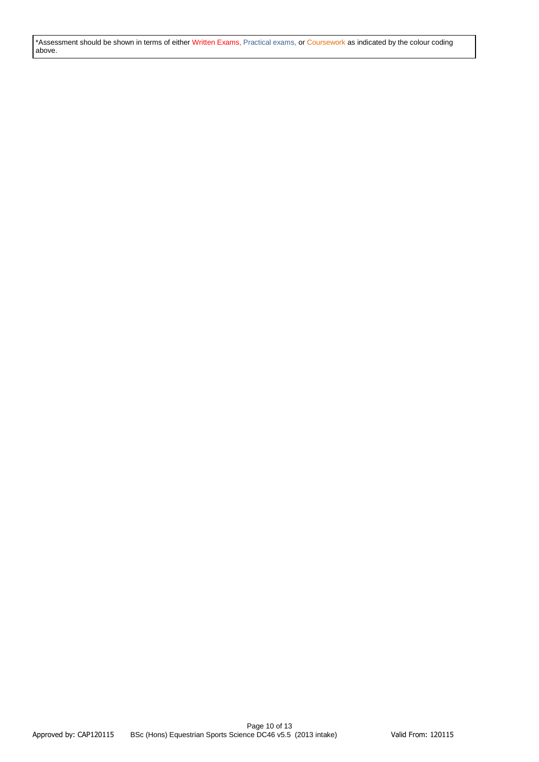\*Assessment should be shown in terms of either Written Exams, Practical exams, or Coursework as indicated by the colour coding above.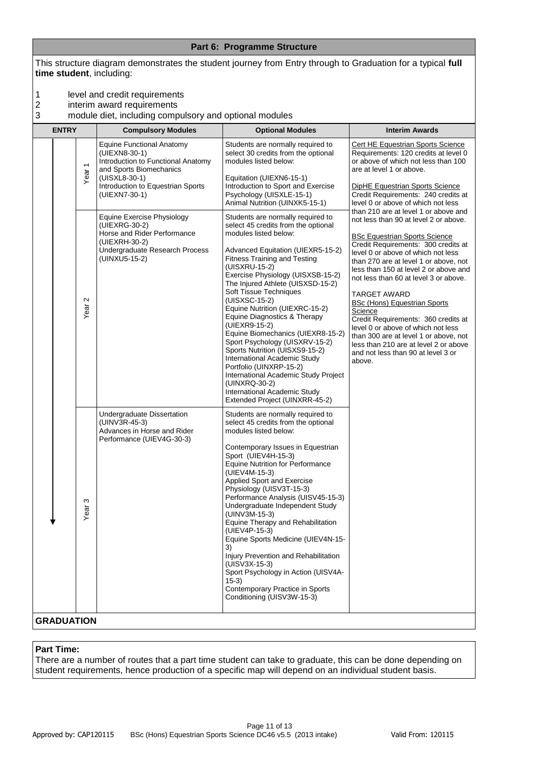|             |              |                                                 | time student, including:                                                                                                                                                                                                                                                                                                                                                                                                                               |                                                                                                                                                                                                                                                                                                                                                                                                                                                                                                                                                                                                                                                                                                                                                                                                                                                                                                                                                                                                                                                                                                                                                        |                                                                                                                                                                                                                                                                                                                                                                                                                                                                                                                                                                                                                                                                                                                                                                                                                                                                                       |
|-------------|--------------|-------------------------------------------------|--------------------------------------------------------------------------------------------------------------------------------------------------------------------------------------------------------------------------------------------------------------------------------------------------------------------------------------------------------------------------------------------------------------------------------------------------------|--------------------------------------------------------------------------------------------------------------------------------------------------------------------------------------------------------------------------------------------------------------------------------------------------------------------------------------------------------------------------------------------------------------------------------------------------------------------------------------------------------------------------------------------------------------------------------------------------------------------------------------------------------------------------------------------------------------------------------------------------------------------------------------------------------------------------------------------------------------------------------------------------------------------------------------------------------------------------------------------------------------------------------------------------------------------------------------------------------------------------------------------------------|---------------------------------------------------------------------------------------------------------------------------------------------------------------------------------------------------------------------------------------------------------------------------------------------------------------------------------------------------------------------------------------------------------------------------------------------------------------------------------------------------------------------------------------------------------------------------------------------------------------------------------------------------------------------------------------------------------------------------------------------------------------------------------------------------------------------------------------------------------------------------------------|
| 1<br>2<br>3 |              |                                                 | level and credit requirements<br>interim award requirements<br>module diet, including compulsory and optional modules                                                                                                                                                                                                                                                                                                                                  |                                                                                                                                                                                                                                                                                                                                                                                                                                                                                                                                                                                                                                                                                                                                                                                                                                                                                                                                                                                                                                                                                                                                                        |                                                                                                                                                                                                                                                                                                                                                                                                                                                                                                                                                                                                                                                                                                                                                                                                                                                                                       |
|             | <b>ENTRY</b> |                                                 | <b>Compulsory Modules</b>                                                                                                                                                                                                                                                                                                                                                                                                                              | <b>Optional Modules</b>                                                                                                                                                                                                                                                                                                                                                                                                                                                                                                                                                                                                                                                                                                                                                                                                                                                                                                                                                                                                                                                                                                                                | <b>Interim Awards</b>                                                                                                                                                                                                                                                                                                                                                                                                                                                                                                                                                                                                                                                                                                                                                                                                                                                                 |
|             |              | Year <sub>1</sub><br>$\mathbf{\Omega}$<br>Year: | <b>Equine Functional Anatomy</b><br>(UIEXN8-30-1)<br>Introduction to Functional Anatomy<br>and Sports Biomechanics<br>(UISXL8-30-1)<br>Introduction to Equestrian Sports<br>(UIEXN7-30-1)<br>Equine Exercise Physiology<br>(UIEXRG-30-2)<br>Horse and Rider Performance<br>(UIEXRH-30-2)<br>Undergraduate Research Process<br>(UINXU5-15-2)<br>Undergraduate Dissertation<br>(UINV3R-45-3)<br>Advances in Horse and Rider<br>Performance (UIEV4G-30-3) | Students are normally required to<br>select 30 credits from the optional<br>modules listed below:<br>Equitation (UIEXN6-15-1)<br>Introduction to Sport and Exercise<br>Psychology (UISXLE-15-1)<br>Animal Nutrition (UINXK5-15-1)<br>Students are normally required to<br>select 45 credits from the optional<br>modules listed below:<br>Advanced Equitation (UIEXR5-15-2)<br><b>Fitness Training and Testing</b><br>(UISXRU-15-2)<br>Exercise Physiology (UISXSB-15-2)<br>The Injured Athlete (UISXSD-15-2)<br>Soft Tissue Techniques<br>(UISXSC-15-2)<br>Equine Nutrition (UIEXRC-15-2)<br>Equine Diagnostics & Therapy<br>(UIEXR9-15-2)<br>Equine Biomechanics (UIEXR8-15-2)<br>Sport Psychology (UISXRV-15-2)<br>Sports Nutrition (UISXS9-15-2)<br>International Academic Study<br>Portfolio (UINXRP-15-2)<br>International Academic Study Project<br>(UINXRQ-30-2)<br>International Academic Study<br>Extended Project (UINXRR-45-2)<br>Students are normally required to<br>select 45 credits from the optional<br>modules listed below:<br>Contemporary Issues in Equestrian<br>Sport (UIEV4H-15-3)<br><b>Equine Nutrition for Performance</b> | Cert HE Equestrian Sports Science<br>Requirements: 120 credits at level 0<br>or above of which not less than 100<br>are at level 1 or above.<br><b>DipHE Equestrian Sports Science</b><br>Credit Requirements: 240 credits at<br>level 0 or above of which not less<br>than 210 are at level 1 or above and<br>not less than 90 at level 2 or above.<br><b>BSc Equestrian Sports Science</b><br>Credit Requirements: 300 credits at<br>level 0 or above of which not less<br>than 270 are at level 1 or above, not<br>less than 150 at level 2 or above and<br>not less than 60 at level 3 or above.<br>TARGET AWARD<br><b>BSc (Hons) Equestrian Sports</b><br>Science<br>Credit Requirements: 360 credits at<br>level 0 or above of which not less<br>than 300 are at level 1 or above, not<br>less than 210 are at level 2 or above<br>and not less than 90 at level 3 or<br>above. |
|             |              | S<br>Year                                       |                                                                                                                                                                                                                                                                                                                                                                                                                                                        | (UIEV4M-15-3)<br>Applied Sport and Exercise<br>Physiology (UISV3T-15-3)<br>Performance Analysis (UISV45-15-3)<br>Undergraduate Independent Study<br>(UINV3M-15-3)<br>Equine Therapy and Rehabilitation<br>(UIEV4P-15-3)<br>Equine Sports Medicine (UIEV4N-15-<br>3)<br>Injury Prevention and Rehabilitation<br>(UISV3X-15-3)<br>Sport Psychology in Action (UISV4A-<br>$(15-3)$<br>Contemporary Practice in Sports<br>Conditioning (UISV3W-15-3)                                                                                                                                                                                                                                                                                                                                                                                                                                                                                                                                                                                                                                                                                                       |                                                                                                                                                                                                                                                                                                                                                                                                                                                                                                                                                                                                                                                                                                                                                                                                                                                                                       |
|             |              |                                                 |                                                                                                                                                                                                                                                                                                                                                                                                                                                        |                                                                                                                                                                                                                                                                                                                                                                                                                                                                                                                                                                                                                                                                                                                                                                                                                                                                                                                                                                                                                                                                                                                                                        |                                                                                                                                                                                                                                                                                                                                                                                                                                                                                                                                                                                                                                                                                                                                                                                                                                                                                       |

**Part 6: Programme Structure** This structure diagram demonstrates the student journey from Entry through to Graduation for a typical **full** 

# **GRADUATION**

#### **Part Time:**

There are a number of routes that a part time student can take to graduate, this can be done depending on student requirements, hence production of a specific map will depend on an individual student basis.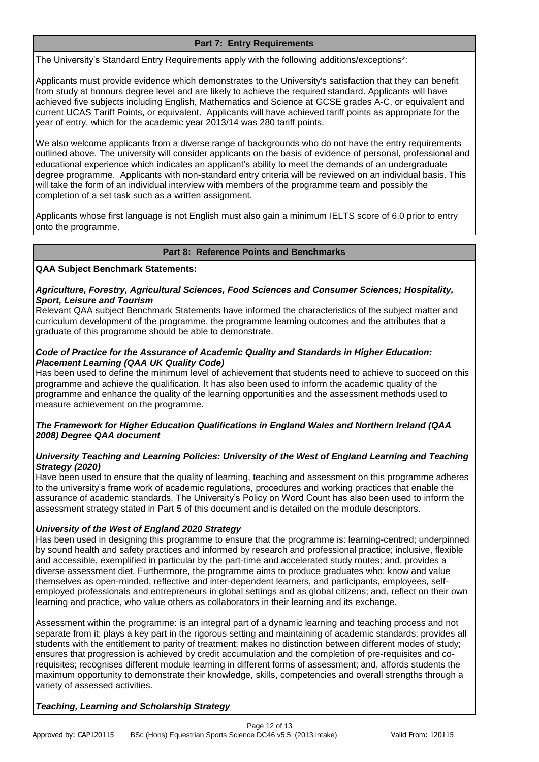## **Part 7: Entry Requirements**

The University's Standard Entry Requirements apply with the following additions/exceptions\*:

Applicants must provide evidence which demonstrates to the University's satisfaction that they can benefit from study at honours degree level and are likely to achieve the required standard. Applicants will have achieved five subjects including English, Mathematics and Science at GCSE grades A-C, or equivalent and current UCAS Tariff Points, or equivalent. Applicants will have achieved tariff points as appropriate for the year of entry, which for the academic year 2013/14 was 280 tariff points.

We also welcome applicants from a diverse range of backgrounds who do not have the entry requirements outlined above. The university will consider applicants on the basis of evidence of personal, professional and educational experience which indicates an applicant's ability to meet the demands of an undergraduate degree programme. Applicants with non-standard entry criteria will be reviewed on an individual basis. This will take the form of an individual interview with members of the programme team and possibly the completion of a set task such as a written assignment.

Applicants whose first language is not English must also gain a minimum IELTS score of 6.0 prior to entry onto the programme.

## **Part 8: Reference Points and Benchmarks**

#### **QAA Subject Benchmark Statements:**

## *Agriculture, Forestry, Agricultural Sciences, Food Sciences and Consumer Sciences; Hospitality, Sport, Leisure and Tourism*

Relevant QAA subject Benchmark Statements have informed the characteristics of the subject matter and curriculum development of the programme, the programme learning outcomes and the attributes that a graduate of this programme should be able to demonstrate.

## *Code of Practice for the Assurance of Academic Quality and Standards in Higher Education: Placement Learning (QAA UK Quality Code)*

Has been used to define the minimum level of achievement that students need to achieve to succeed on this programme and achieve the qualification. It has also been used to inform the academic quality of the programme and enhance the quality of the learning opportunities and the assessment methods used to measure achievement on the programme.

## *The Framework for Higher Education Qualifications in England Wales and Northern Ireland (QAA 2008) Degree QAA document*

## *University Teaching and Learning Policies: University of the West of England Learning and Teaching Strategy (2020)*

Have been used to ensure that the quality of learning, teaching and assessment on this programme adheres to the university's frame work of academic regulations, procedures and working practices that enable the assurance of academic standards. The University's Policy on Word Count has also been used to inform the assessment strategy stated in Part 5 of this document and is detailed on the module descriptors.

## *University of the West of England 2020 Strategy*

Has been used in designing this programme to ensure that the programme is: learning-centred; underpinned by sound health and safety practices and informed by research and professional practice; inclusive, flexible and accessible, exemplified in particular by the part-time and accelerated study routes; and, provides a diverse assessment diet. Furthermore, the programme aims to produce graduates who: know and value themselves as open-minded, reflective and inter-dependent learners, and participants, employees, selfemployed professionals and entrepreneurs in global settings and as global citizens; and, reflect on their own learning and practice, who value others as collaborators in their learning and its exchange.

Assessment within the programme: is an integral part of a dynamic learning and teaching process and not separate from it; plays a key part in the rigorous setting and maintaining of academic standards; provides all students with the entitlement to parity of treatment; makes no distinction between different modes of study; ensures that progression is achieved by credit accumulation and the completion of pre-requisites and corequisites; recognises different module learning in different forms of assessment; and, affords students the maximum opportunity to demonstrate their knowledge, skills, competencies and overall strengths through a variety of assessed activities.

## *Teaching, Learning and Scholarship Strategy*